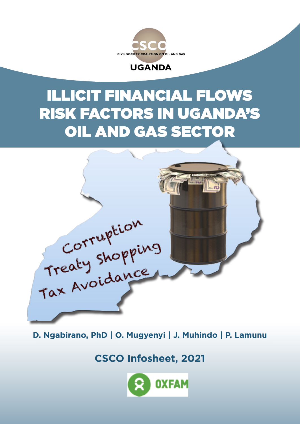



# ILLICIT FINANCIAL FLOWS RISK FACTORS IN UGAND OIL AND GAS SECTO



**D. Ngabirano, PhD | O. Mugyenyi | J. Muhindo | P. Lamunu**

**CSCO Infosheet, 2021**

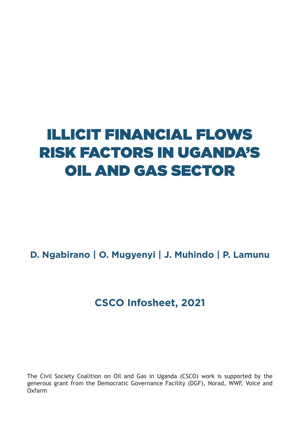# ILLICIT FINANCIAL FLOWS RISK FACTORS IN UGANDA'S OIL AND GAS SECTOR

**D. Ngabirano | O. Mugyenyi | J. Muhindo | P. Lamunu**

### **CSCO Infosheet, 2021**

The Civil Society Coalition on Oil and Gas in Uganda (CSCO) work is supported by the generous grant from the Democratic Governance Facility (DGF), Norad, WWF, Voice and Oxfarm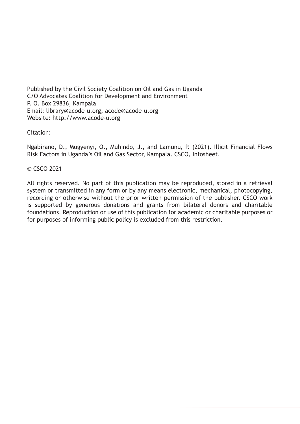Published by the Civil Society Coalition on Oil and Gas in Uganda C/O Advocates Coalition for Development and Environment P. O. Box 29836, Kampala Email: library@acode-u.org; acode@acode-u.org Website: http://www.acode-u.org

#### Citation:

Ngabirano, D., Mugyenyi, O., Muhindo, J., and Lamunu, P. (2021). Illicit Financial Flows Risk Factors in Uganda's Oil and Gas Sector, Kampala. CSCO, Infosheet.

#### © CSCO 2021

All rights reserved. No part of this publication may be reproduced, stored in a retrieval system or transmitted in any form or by any means electronic, mechanical, photocopying, recording or otherwise without the prior written permission of the publisher. CSCO work is supported by generous donations and grants from bilateral donors and charitable foundations. Reproduction or use of this publication for academic or charitable purposes or for purposes of informing public policy is excluded from this restriction.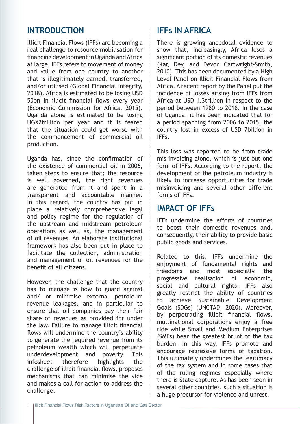#### **INTRODUCTION**

Illicit Financial Flows (IFFs) are becoming a real challenge to resource mobilisation for financing development in Uganda and Africa at large. IFFs refers to movement of money and value from one country to another that is illegitimately earned, transferred, and/or utilised (Global Financial Integrity, 2018). Africa is estimated to be losing USD 50bn in illicit financial flows every year (Economic Commission for Africa, 2015). Uganda alone is estimated to be losing UGX2trillion per year and it is feared that the situation could get worse with the commencement of commercial oil production.

Uganda has, since the confirmation of the existence of commercial oil in 2006, taken steps to ensure that; the resource is well governed, the right revenues are generated from it and spent in a transparent and accountable manner. In this regard, the country has put in place a relatively comprehensive legal and policy regime for the regulation of the upstream and midstream petroleum operations as well as, the management of oil revenues. An elaborate institutional framework has also been put in place to facilitate the collection, administration and management of oil revenues for the benefit of all citizens.

However, the challenge that the country has to manage is how to guard against and/ or minimise external petroleum revenue leakages, and in particular to ensure that oil companies pay their fair share of revenues as provided for under the law. Failure to manage illicit financial flows will undermine the country's ability to generate the required revenue from its petroleum wealth which will perpetuate underdevelopment and poverty. This infosheet therefore highlights the challenge of illicit financial flows, proposes mechanisms that can minimise the vice and makes a call for action to address the challenge.

#### **IFFs IN AFRICA**

There is growing anecdotal evidence to show that, increasingly, Africa loses a significant portion of its domestic revenues (Kar, Dev, and Devon Cartwright-Smith, 2010). This has been documented by a High Level Panel on Illicit Financial Flows from Africa. A recent report by the Panel put the incidence of losses arising from IFFs from Africa at USD 1.3trillion in respect to the period between 1980 to 2018. In the case of Uganda, it has been indicated that for a period spanning from 2006 to 2015, the country lost in excess of USD 7billion in IFFs.

This loss was reported to be from trade mis-invoicing alone, which is just but one form of IFFs. According to the report, the development of the petroleum industry is likely to increase opportunities for trade misinvoicing and several other different forms of IFFs.

#### **IMPACT OF IFFs**

IFFs undermine the efforts of countries to boost their domestic revenues and, consequently, their ability to provide basic public goods and services.

Related to this, IFFs undermine the enjoyment of fundamental rights and freedoms and most especially, the progressive realisation of economic, social and cultural rights. IFFs also greatly restrict the ability of countries to achieve Sustainable Development Goals (SDGs) (UNCTAD, 2020). Moreover, by perpetrating illicit financial flows, multinational corporations enjoy a free ride while Small and Medium Enterprises (SMEs) bear the greatest brunt of the tax burden. In this way, IFFs promote and encourage regressive forms of taxation. This ultimately undermines the legitimacy of the tax system and in some cases that of the ruling regimes especially where there is State capture. As has been seen in several other countries, such a situation is a huge precursor for violence and unrest.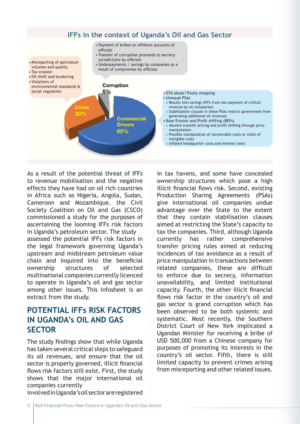

As a result of the potential threat of IFFs to revenue mobilisation and the negative effects they have had on oil rich countries in Africa such as Nigeria, Angola, Sudan, Cameroon and Mozambique, the Civil Society Coalition on Oil and Gas (CSCO) commissioned a study for the purposes of ascertaining the looming IFFs risk factors in Uganda's petroleum sector. The study assessed the potential IFFs risk factors in the legal framework governing Uganda's upstream and midstream petroleum value chain and inquired into the beneficial ownership structures of selected multinational companies currently licenced to operate in Uganda's oil and gas sector among other issues. This infosheet is an extract from the study.

#### **POTENTIAL IFFs RISK FACTORS IN UGANDA's OIL AND GAS SECTOR**

The study findings show that while Uganda has taken several critical steps to safeguard its oil revenues, and ensure that the oil sector is properly governed, illicit financial flows risk factors still exist. First, the study shows that the major international oil companies currently

in tax havens, and some have concealed ownership structures which pose a high illicit financial flows risk. Second, existing Production Sharing Agreements (PSAs) give international oil companies undue advantage over the State to the extent that they contain stabilisation clauses aimed at restricting the State's capacity to tax the companies. Third, although Uganda currently has rather comprehensive transfer pricing rules aimed at reducing incidences of tax avoidance as a result of price manipulation in transactions between related companies, these are difficult to enforce due to secrecy, information unavailability, and limited institutional capacity. Fourth, the other illicit financial flows risk factor in the country's oil and gas sector is grand corruption which has been observed to be both systemic and systematic. Most recently, the Southern District Court of New York implicated a Ugandan Minister for receiving a bribe of USD 500,000 from a Chinese company for purposes of promoting its interests in the country's oil sector. Fifth, there is still limited capacity to prevent crimes arising from misreporting and other related issues.

involved in Uganda's oil sector are registered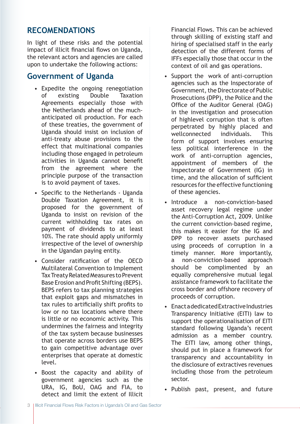#### **RECOMENDATIONS**

In light of these risks and the potential impact of illicit financial flows on Uganda, the relevant actors and agencies are called upon to undertake the following actions:

#### **Government of Uganda**

- Expedite the ongoing renegotiation of existing Double Taxation Agreements especially those with the Netherlands ahead of the muchanticipated oil production. For each of these treaties, the government of Uganda should insist on inclusion of anti-treaty abuse provisions to the effect that multinational companies including those engaged in petroleum activities in Uganda cannot benefit from the agreement where the principle purpose of the transaction is to avoid payment of taxes.
- Specific to the Netherlands Uganda Double Taxation Agreement, it is proposed for the government of Uganda to insist on revision of the current withholding tax rates on payment of dividends to at least 10%. The rate should apply uniformly irrespective of the level of ownership in the Ugandan paying entity.
- Consider ratification of the OECD Multilateral Convention to Implement Tax Treaty Related Measures to Prevent Base Erosion and Profit Shifting (BEPS). BEPS refers to tax planning strategies that exploit gaps and mismatches in tax rules to artificially shift profits to low or no tax locations where there is little or no economic activity. This undermines the fairness and integrity of the tax system because businesses that operate across borders use BEPS to gain competitive advantage over enterprises that operate at domestic level.
- Boost the capacity and ability of government agencies such as the URA, IG, BoU, OAG and FIA, to detect and limit the extent of Illicit

Financial Flows. This can be achieved through skilling of existing staff and hiring of specialised staff in the early detection of the different forms of IFFs especially those that occur in the context of oil and gas operations.

- Support the work of anti-corruption agencies such as the Inspectorate of Government, the Directorate of Public Prosecutions (DPP), the Police and the Office of the Auditor General (OAG) in the investigation and prosecution of highlevel corruption that is often perpetrated by highly placed and wellconnected individuals. This form of support involves ensuring less political interference in the work of anti-corruption agencies, appointment of members of the Inspectorate of Government (IG) in time, and the allocation of sufficient resources for the effective functioning of these agencies.
- Introduce a non-conviction-based asset recovery legal regime under the Anti-Corruption Act, 2009. Unlike the current conviction-based regime, this makes it easier for the IG and DPP to recover assets purchased using proceeds of corruption in a timely manner. More importantly, a non-conviction-based approach should be complimented by an equally comprehensive mutual legal assistance framework to facilitate the cross border and offshore recovery of proceeds of corruption.
- Enact a dedicated Extractive Industries Transparency Initiative (EITI) law to support the operationalisation of EITI standard following Uganda's recent admission as a member country. The EITI law, among other things, should put in place a framework for transparency and accountability in the disclosure of extractives revenues including those from the petroleum sector.
- Publish past, present, and future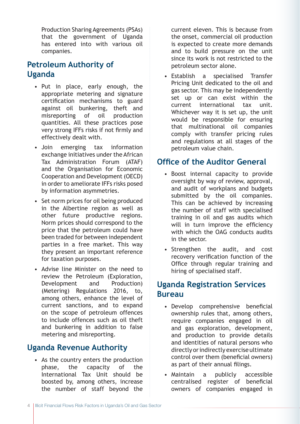Production Sharing Agreements (PSAs) that the government of Uganda has entered into with various oil companies.

#### **Petroleum Authority of Uganda**

- Put in place, early enough, the appropriate metering and signature certification mechanisms to guard against oil bunkering, theft and misreporting of oil production quantities. All these practices pose very strong IFFs risks if not firmly and effectively dealt with.
- Join emerging tax information exchange initiatives under the African Tax Administration Forum (ATAF) and the Organisation for Economic Cooperation and Development (OECD) in order to ameliorate IFFs risks posed by information asymmetries.
- Set norm prices for oil being produced in the Albertine region as well as other future productive regions. Norm prices should correspond to the price that the petroleum could have been traded for between independent parties in a free market. This way they present an important reference for taxation purposes.
- Advise line Minister on the need to review the Petroleum (Exploration, Development and Production) (Metering) Regulations 2016, to, among others, enhance the level of current sanctions, and to expand on the scope of petroleum offences to include offences such as oil theft and bunkering in addition to false metering and misreporting.

#### **Uganda Revenue Authority**

• As the country enters the production phase, the capacity of the International Tax Unit should be boosted by, among others, increase the number of staff beyond the

current eleven. This is because from the onset, commercial oil production is expected to create more demands and to build pressure on the unit since its work is not restricted to the petroleum sector alone.

• Establish a specialised Transfer Pricing Unit dedicated to the oil and gas sector. This may be independently set up or can exist within the current international tax unit. Whichever way it is set up, the unit would be responsible for ensuring that multinational oil companies comply with transfer pricing rules and regulations at all stages of the petroleum value chain.

#### **Office of the Auditor General**

- Boost internal capacity to provide oversight by way of review, approval, and audit of workplans and budgets submitted by the oil companies. This can be achieved by increasing the number of staff with specialised training in oil and gas audits which will in turn improve the efficiency with which the OAG conducts audits in the sector.
- Strengthen the audit, and cost recovery verification function of the Office through regular training and hiring of specialised staff.

#### **Uganda Registration Services Bureau**

- Develop comprehensive beneficial ownership rules that, among others, require companies engaged in oil and gas exploration, development, and production to provide details and identities of natural persons who directly or indirectly exercise ultimate control over them (beneficial owners) as part of their annual filings.
- Maintain a publicly accessible centralised register of beneficial owners of companies engaged in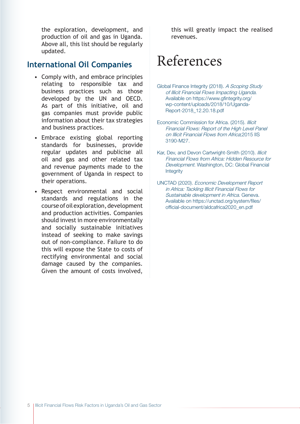the exploration, development, and production of oil and gas in Uganda. Above all, this list should be regularly updated.

#### **International Oil Companies**

- Comply with, and embrace principles relating to responsible tax and business practices such as those developed by the UN and OECD. As part of this initiative, oil and gas companies must provide public information about their tax strategies and business practices.
- Embrace existing global reporting standards for businesses, provide regular updates and publicise all oil and gas and other related tax and revenue payments made to the government of Uganda in respect to their operations.
- Respect environmental and social standards and regulations in the course of oil exploration, development and production activities. Companies should invest in more environmentally and socially sustainable initiatives instead of seeking to make savings out of non-compliance. Failure to do this will expose the State to costs of rectifying environmental and social damage caused by the companies. Given the amount of costs involved,

this will greatly impact the realised revenues.

## References

- Global Finance Integrity (2018). A Scoping Study of Illicit Financial Flows Impacting Uganda. Available on https://www.gfintegrity.org/ wp-content/uploads/2018/10/Uganda-Report-2018\_12.20.18.pdf
- Economic Commission for Africa. (2015). Illicit Financial Flows: Report of the High Level Panel on Illicit Financial Flows from Africa;2015 IIS 3190-M27.
- Kar, Dev, and Devon Cartwright-Smith (2010). Illicit Financial Flows from Africa: Hidden Resource for Development. Washington, DC: Global Financial Integrity
- UNCTAD (2020). Economic Development Report in Africa: Tackling Illicit Financial Flows for Sustainable development in Africa. Geneva. Available on https://unctad.org/system/files/ official-document/aldcafrica2020\_en.pdf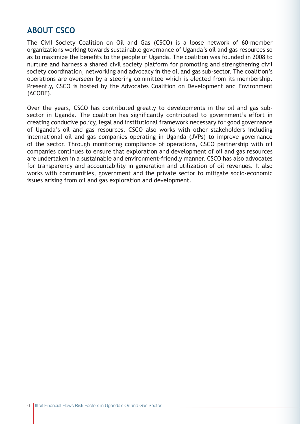#### **ABOUT CSCO**

The Civil Society Coalition on Oil and Gas (CSCO) is a loose network of 60-member organizations working towards sustainable governance of Uganda's oil and gas resources so as to maximize the benefits to the people of Uganda. The coalition was founded in 2008 to nurture and harness a shared civil society platform for promoting and strengthening civil society coordination, networking and advocacy in the oil and gas sub-sector. The coalition's operations are overseen by a steering committee which is elected from its membership. Presently, CSCO is hosted by the Advocates Coalition on Development and Environment (ACODE).

Over the years, CSCO has contributed greatly to developments in the oil and gas subsector in Uganda. The coalition has significantly contributed to government's effort in creating conducive policy, legal and institutional framework necessary for good governance of Uganda's oil and gas resources. CSCO also works with other stakeholders including international oil and gas companies operating in Uganda (JVPs) to improve governance of the sector. Through monitoring compliance of operations, CSCO partnership with oil companies continues to ensure that exploration and development of oil and gas resources are undertaken in a sustainable and environment-friendly manner. CSCO has also advocates for transparency and accountability in generation and utilization of oil revenues. It also works with communities, government and the private sector to mitigate socio-economic issues arising from oil and gas exploration and development.